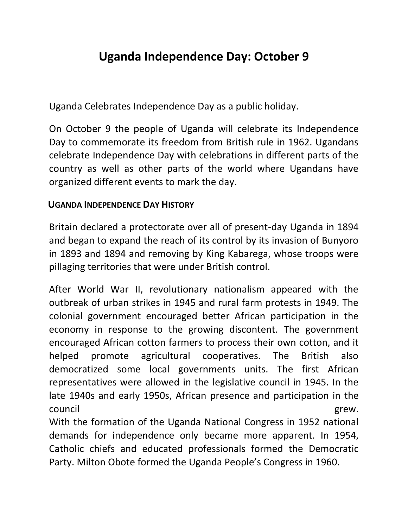## **Uganda Independence Day: October 9**

Uganda Celebrates [Independence Day](http://aglobalworld.com/holidays-around-the-world/independence-day/) as a public holiday.

On October 9 the people of Uganda will celebrate its Independence Day to commemorate its freedom from British rule in 1962. Ugandans celebrate Independence Day with celebrations in different parts of the country as well as other parts of the world where Ugandans have organized different events to mark the day.

## **UGANDA INDEPENDENCE DAY HISTORY**

Britain declared a protectorate over all of present-day Uganda in 1894 and began to expand the reach of its control by its invasion of Bunyoro in 1893 and 1894 and removing by King Kabarega, whose troops were pillaging territories that were under British control.

After World War II, revolutionary nationalism appeared with the outbreak of urban strikes in 1945 and rural farm protests in 1949. The colonial government encouraged better African participation in the economy in response to the growing discontent. The government encouraged African cotton farmers to process their own cotton, and it helped promote agricultural cooperatives. The British also democratized some local governments units. The first African representatives were allowed in the legislative council in 1945. In the late 1940s and early 1950s, African presence and participation in the council grew. With the formation of the Uganda National Congress in 1952 national demands for independence only became more apparent. In 1954, Catholic chiefs and educated professionals formed the Democratic Party. Milton Obote formed the Uganda People's Congress in 1960.